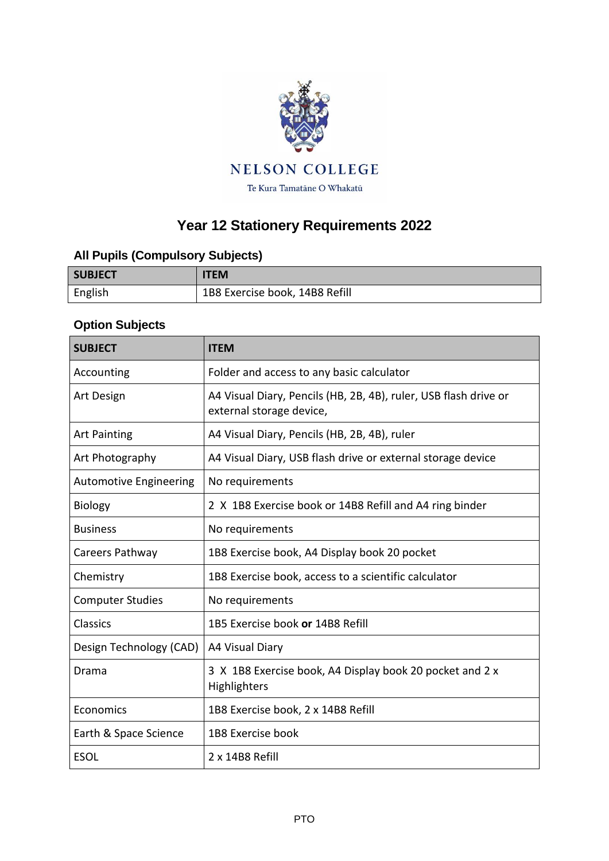

## **Year 12 Stationery Requirements 2022**

## **All Pupils (Compulsory Subjects)**

| <b>SUBJECT</b> | <b>ITEM</b>                    |
|----------------|--------------------------------|
| English        | 1B8 Exercise book, 14B8 Refill |

## **Option Subjects**

| <b>SUBJECT</b>                | <b>ITEM</b>                                                                                  |
|-------------------------------|----------------------------------------------------------------------------------------------|
| Accounting                    | Folder and access to any basic calculator                                                    |
| Art Design                    | A4 Visual Diary, Pencils (HB, 2B, 4B), ruler, USB flash drive or<br>external storage device, |
| <b>Art Painting</b>           | A4 Visual Diary, Pencils (HB, 2B, 4B), ruler                                                 |
| Art Photography               | A4 Visual Diary, USB flash drive or external storage device                                  |
| <b>Automotive Engineering</b> | No requirements                                                                              |
| <b>Biology</b>                | 2 X 1B8 Exercise book or 14B8 Refill and A4 ring binder                                      |
| <b>Business</b>               | No requirements                                                                              |
| Careers Pathway               | 1B8 Exercise book, A4 Display book 20 pocket                                                 |
| Chemistry                     | 1B8 Exercise book, access to a scientific calculator                                         |
| <b>Computer Studies</b>       | No requirements                                                                              |
| <b>Classics</b>               | 1B5 Exercise book or 14B8 Refill                                                             |
| Design Technology (CAD)       | A4 Visual Diary                                                                              |
| Drama                         | 3 X 1B8 Exercise book, A4 Display book 20 pocket and 2 x<br>Highlighters                     |
| Economics                     | 1B8 Exercise book, 2 x 14B8 Refill                                                           |
| Earth & Space Science         | 1B8 Exercise book                                                                            |
| <b>ESOL</b>                   | 2 x 14B8 Refill                                                                              |